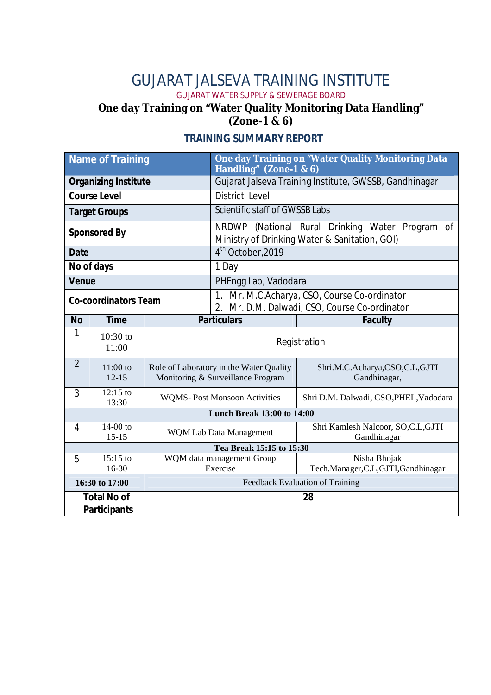### GUJARAT JALSEVA TRAINING INSTITUTE

GUJARAT WATER SUPPLY & SEWERAGE BOARD

#### **One day Training on "Water Quality Monitoring Data Handling" (Zone-1 & 6)**

| <b>Name of Training</b>                   |                         |                                                                              | One day Training on "Water Quality Monitoring Data<br>Handling" (Zone-1 & 6)                     |                                                   |  |
|-------------------------------------------|-------------------------|------------------------------------------------------------------------------|--------------------------------------------------------------------------------------------------|---------------------------------------------------|--|
| <b>Organizing Institute</b>               |                         |                                                                              | Gujarat Jalseva Training Institute, GWSSB, Gandhinagar                                           |                                                   |  |
| <b>Course Level</b>                       |                         |                                                                              | District Level                                                                                   |                                                   |  |
| <b>Target Groups</b>                      |                         |                                                                              | Scientific staff of GWSSB Labs                                                                   |                                                   |  |
| <b>Sponsored By</b>                       |                         |                                                                              | NRDWP (National Rural Drinking Water Program of<br>Ministry of Drinking Water & Sanitation, GOI) |                                                   |  |
| <b>Date</b>                               |                         |                                                                              | 4 <sup>th</sup> October, 2019                                                                    |                                                   |  |
| No of days                                |                         |                                                                              | 1 Day                                                                                            |                                                   |  |
| <b>Venue</b>                              |                         |                                                                              | PHEngg Lab, Vadodara                                                                             |                                                   |  |
| <b>Co-coordinators Team</b>               |                         |                                                                              | 1. Mr. M.C.Acharya, CSO, Course Co-ordinator<br>2. Mr. D.M. Dalwadi, CSO, Course Co-ordinator    |                                                   |  |
| <b>No</b>                                 | <b>Time</b>             |                                                                              | <b>Particulars</b>                                                                               | <b>Faculty</b>                                    |  |
| 1                                         | $10:30$ to<br>11:00     | Registration                                                                 |                                                                                                  |                                                   |  |
| $\overline{2}$                            | $11:00$ to<br>$12 - 15$ | Role of Laboratory in the Water Quality<br>Monitoring & Surveillance Program |                                                                                                  | Shri.M.C.Acharya,CSO,C.L,GJTI<br>Gandhinagar,     |  |
| 3                                         | $12:15$ to<br>13:30     | <b>WQMS-Post Monsoon Activities</b>                                          |                                                                                                  | Shri D.M. Dalwadi, CSO, PHEL, Vadodara            |  |
| <b>Lunch Break 13:00 to 14:00</b>         |                         |                                                                              |                                                                                                  |                                                   |  |
| 4                                         | $14-00$ to<br>$15 - 15$ | <b>WQM Lab Data Management</b>                                               |                                                                                                  | Shri Kamlesh Nalcoor, SO,C.L,GJTI<br>Gandhinagar  |  |
| Tea Break 15:15 to 15:30                  |                         |                                                                              |                                                                                                  |                                                   |  |
| 5                                         | $15:15$ to<br>$16-30$   | WQM data management Group<br>Exercise                                        |                                                                                                  | Nisha Bhojak<br>Tech.Manager,C.L,GJTI,Gandhinagar |  |
| 16:30 to 17:00                            |                         |                                                                              | Feedback Evaluation of Training                                                                  |                                                   |  |
| <b>Total No of</b><br><b>Participants</b> |                         |                                                                              |                                                                                                  | 28                                                |  |

#### **TRAINING SUMMARY REPORT**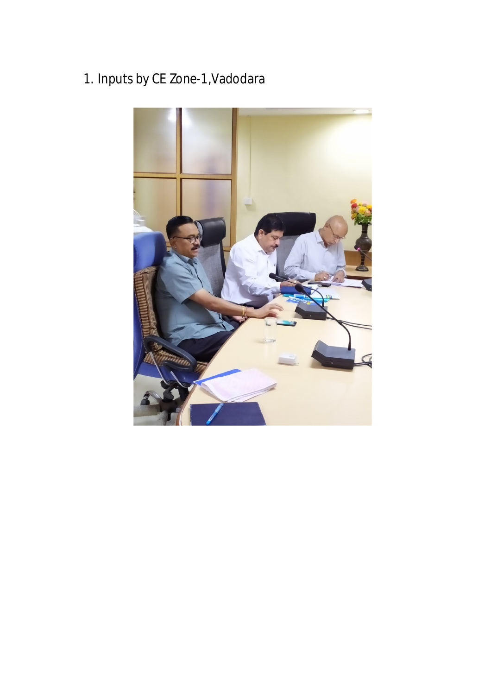# 1. Inputs by CE Zone-1,Vadodara

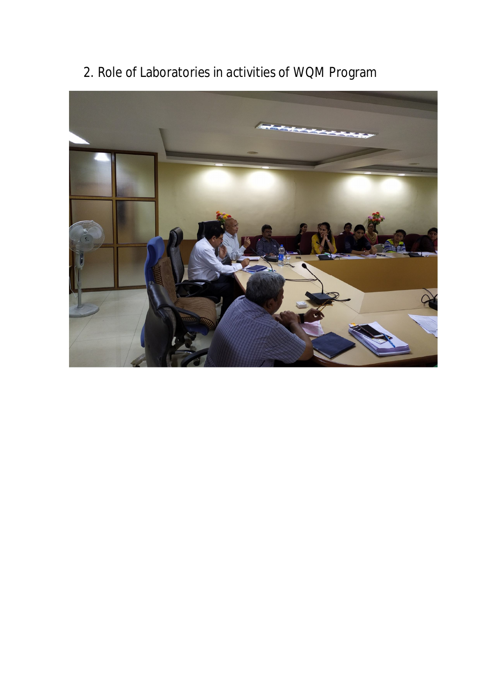